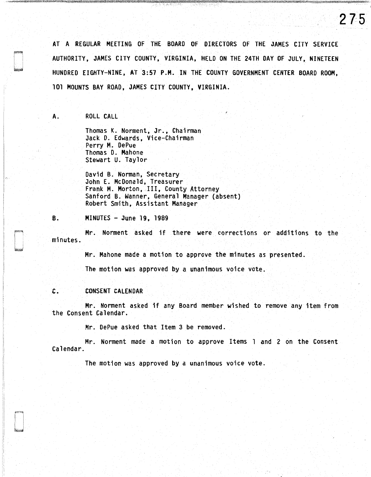AT A REGULAR MEETING OF THE BOARD OF DIRECTORS OF THE JAMES CITY SERVICE AUTHORITY, JAMES CITY COUNTY, VIRGINIA, HELD ON THE 24TH DAY OF JULY, NINETEEN HUNDRED EIGHTY-NINE, AT 3:57 P.M. IN THE COUNTY GOVERNMENT CENTER BOARD ROOM, 101 MOUNTS BAY ROAD, JAMES CITY COUNTY, VIRGINIA.

**275** 

A. ROLL CALL

Thomas K. Norment, Jr., Chairman Jack 0. Edwards, Vice-Chairman Perry M. OePue Thomas 0. Mahone Stewart U. Taylor

David B. Norman, Secretary John E. McDonald, Treasurer Frank M. Morton, Ill, County Attorney Sanford B. Wanner, General Manager (absent) Robert Smith, Assistant Manager

B. MINUTES - June 19, 1989

Mr. Norment asked if there were corrections or additions to the minutes.

Mr. Mahone made a motion to approve the minutes as presented.

The motion was approved by a unanimous voice vote.

#### C. CONSENT CALENDAR

Mr. Norment asked if any Board member wished to remove any item from the Consent Calendar.

Mr. DePue asked that Item 3 be removed.

Mr. Norment made a motion to approve Items 1 and 2 on the Consent Calendar.

The motion was approved by a unanimous voice vote.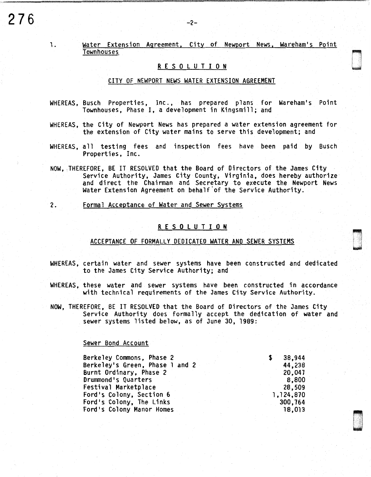1 .

# Water Extension Agreement, City of Newport News, Wareham's Point Townhouses

# R E S 0 L U T I 0 N

#### CITY OF NEWPORT NEWS WATER EXTENSION AGREEMENT

- WHEREAS, Busch Properties, Inc., has prepared plans for Wareham's Point Townhouses, Phase I, a development in Kingsmill; and
- WHEREAS, the City of Newport News has prepared a water extension agreement for the extension of City water mains to serve this development; and
- WHEREAS, all testing fees and inspection fees have been paid by Busch Properties, Inc.
- NOW, THEREFORE, BE IT RESOLVED that the Board of Directors of the James City Service Authority, James City County, Virginia, does hereby authorize and direct the Chairman and Secretary to execute the Newport News Water Extension Agreement on behalf 'of the Service Authority.
- 2. Formal Acceptance of Water and Sewer Systems

### R E S 0 L U T I 0 N

#### ACCEPTANCE OF FORMALLY DEDICATED WATER AND SEWER SYSTEMS

- WHEREAS, certain water and sewer systems have been constructed and dedicated to the James City Service Authority; and
- WHEREAS, these water and sewer systems have been constructed in accordance with technical requirements of the James City Service Authority.
- NOW, THEREFORE, BE IT RESOLVED that the Board of Directors of the James City Service Authority does formally accept the dedication of water and sewer systems listed below, as of June 30, 1989:

#### Sewer Bond Account

| Berkeley Commons, Phase 2       |  | 38,944    |
|---------------------------------|--|-----------|
| Berkeley's Green, Phase 1 and 2 |  | 44,238    |
| Burnt Ordinary, Phase 2         |  | 20.047    |
| Drummond's Quarters             |  | 8,800     |
| Festival Marketplace            |  | 28,509    |
| Ford's Colony, Section 6        |  | 1,124,870 |
| Ford's Colony, The Links        |  | 300,764   |
| Ford's Colony Manor Homes       |  | 18,013    |
|                                 |  |           |



and a strong strong strong strong strong strong strong strong strong strong strong strong strong strong strong<br>District strong strong strong strong strong strong strong strong strong strong strong strong strong strong str<br>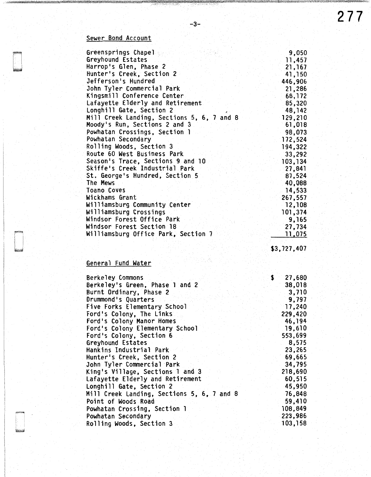# Sewer Bond Account

| Greensprings Chapel                        | 9,050         |
|--------------------------------------------|---------------|
| Greyhound Estates                          | 11,457        |
| Harrop's Glen, Phase 2                     | 21,167        |
| Hunter's Creek, Section 2                  | 41,150        |
| Jefferson's Hundred                        | 446,906       |
| John Tyler Commercial Park                 | 21,286        |
| Kingsmill Conference Center                | 68,172        |
| Lafayette Elderly and Retirement           | 85,320        |
| Longhill Gate, Section 2                   | 48,142        |
| Mill Creek Landing, Sections 5, 6, 7 and 8 | 129,210       |
| Moody's Run, Sections 2 and 3              | 61,018        |
| Powhatan Crossings, Section 1              | 98,073        |
| Powhatan Secondary                         | 172,524       |
| Rolling Woods, Section 3                   | 194,322       |
| Route 60 West Business Park                | 33,292        |
| Season's Trace, Sections 9 and 10          | 103,134       |
| Skiffe's Creek Industrial Park             | 27,841        |
| St. George's Hundred, Section 5            | 87,524        |
| The Mews                                   | 40,088        |
| Toano Coves                                | 14,533        |
| Wickhams Grant                             | 267,557       |
| Williamsburg Community Center              | 12,108        |
| Williamsburg Crossings                     | 101,374       |
| Windsor Forest Office Park                 | 9,165         |
| Windsor Forest Section 18                  | 27,734        |
| Williamsburg Office Park, Section 7        | <u>11,075</u> |
|                                            |               |

-3-

\$3,727,407

# General Fund Water

| <b>Berkeley Commons</b><br>£.              | 27,680  |
|--------------------------------------------|---------|
| Berkeley's Green, Phase 1 and 2            | 38,018  |
| Burnt Ordinary, Phase 2                    | 3,710   |
| Drummond's Quarters                        | 9,797   |
| Five Forks Elementary School               | 17,240  |
| Ford's Colony, The Links                   | 229,420 |
| Ford's Colony Manor Homes                  | 46,194  |
| Ford's Colony Elementary School            | 19,610  |
| Ford's Colony, Section 6                   | 553,699 |
| Greyhound Estates                          | 8,575   |
| Hankins Industrial Park                    | 23,265  |
| Hunter's Creek, Section 2                  | 69,665  |
| John Tyler Commercial Park                 | 34,795  |
| King's Village, Sections 1 and 3           | 218,690 |
| Lafayette Elderly and Retirement           | 60,515  |
| Longhill Gate, Section 2                   | 45,950  |
| Mill Creek Landing, Sections 5, 6, 7 and 8 | 76,848  |
| Point of Woods Road                        | 59,410  |
| Powhatan Crossing, Section 1               | 108,849 |
| Powhatan Secondary                         | 223,986 |
| Rolling Woods, Section 3                   | 103,158 |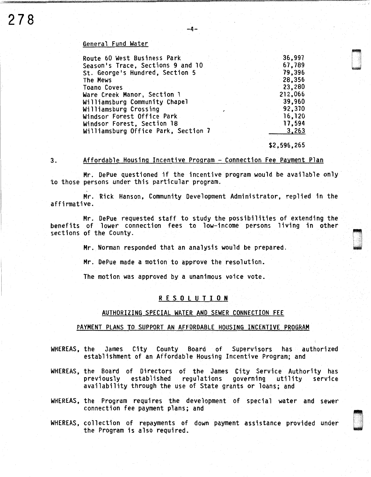#### General Fund Water

| Route 60 West Business Park         |  | 36,997  |
|-------------------------------------|--|---------|
| Season's Trace, Sections 9 and 10   |  | 67,789  |
| St. George's Hundred, Section 5     |  | 79,396  |
| The Mews                            |  | 28,356  |
| <b>Toano Coves</b>                  |  | 23,280  |
| Ware Creek Manor, Section 1         |  | 212,066 |
| Williamsburg Community Chapel       |  | 39,960  |
| Williamsburg Crossing               |  | 92,370  |
| Windsor Forest Office Park          |  | 16,120  |
| Windsor Forest, Section 18          |  | 17,594  |
| Williamsburg Office Park, Section 7 |  | 3,263   |
|                                     |  |         |

#### \$2,596,265

.

#### 3. Affordable Housing Incentive Program - Connection Fee Payment Plan

Mr. DePue questioned if the incentive program would be available only to those persons under this particular program.

Mr. Rick Hanson, Community Development Administrator, replied in the affirmative.

Mr. DePue requested staff to study the possibilities of extending the benefits of lower connection fees to low-income persons living in other sections of the County.

Mr. Norman responded that an analysis would be prepared.

Mr. DePue made a motion to approve the resolution.

The motion was approved by a unanimous voice vote.

# R E S 0 L U T I 0 N

#### AUTHORIZING SPECIAL WATER AND SEWER CONNECTION FEE

#### PAYMENT PLANS TO SUPPORT AN AFFORDABLE HOUSING INCENTIVE PROGRAM

- WHEREAS, the James City County Board of Supervisors has authorized establishment of an Affordable Housing Incentive Program; and
- WHEREAS, the Board of Directors of the James City Service Authority has<br>previously established regulations governing utility service established regulations governing utility availability through the use of State grants or loans; and
- WHEREAS, the Program requires the development of special water and sewer connection fee payment plans; and
- WHEREAS, collection of repayments of down payment assistance provided under collection is payments of down payment assistance provided under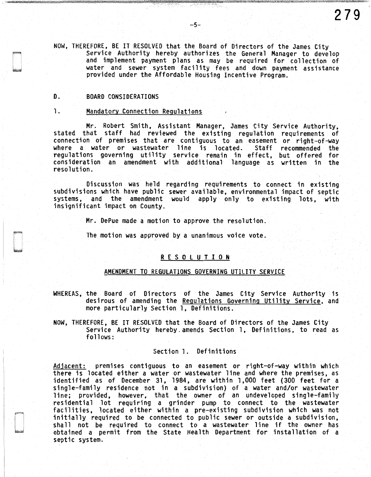NOW, THEREFORE, BE IT RESOLVED that the Board of Directors of the James City<br>Service Authority hereby authorizes the General Manager to develop and implement payment plans as may be required for collection of water and sewer system facility fees and down payment assistance provided under the Affordable Housing Incentive Program.

#### *D.* BOARD CONSIDERATIONS

#### l. Mandatory Connection Regulations

Mr. Robert Smith, Assistant Manager, James City Service Authority, stated that staff had reviewed the existing regulation requirements of connection of premises that are contiguous to an easement or right-of-way where a water or wastewater line is located. regulations governing utility service remain in effect, but offered for consideration an amendment with additional language as written in the resolution.

Discussion was held regarding requirements to connect in existing subdivisions which have public sewer available, environmental impact of septic and the amendment would apply only to existing lots, with insignificant impact on County.

Mr. DePue made a motion to approve the resolution.

The motion was approved by a unanimous voice vote.

# R £ S 0 L U T I 0 N

# AMENDMENT TO REGULATIONS GOVERNING UTILITY SERVICE

- WHEREAS, the Board of Directors of the James City Service Authority is desirous of amending the Regulations Governing Utility Service, and more particularly Section 1, Definitions.
- NOW, THEREFORE, BE IT RESOLVED that the Board of Directors of the James City Service Authority hereby. amends Section l, Definitions, to read as follows:

#### Section 1. Definitions

Adjacent: premises contiguous to an easement or right-of-way within which there is located either a water or wastewater line and where the premises, as identified as of December 31, 19B4, are within 1,000 feet (300 feet for a single-family residence not in a subdivision) of a water and/or wastewater line; provided, however, that the owner of an undeveloped single-family residential lot requiring a grinder pump to connect to the wastewater facilities, located either within a pre-existing subdivision which was not initially required to be connected to public sewer or outside a subdivision, shall not be required to connect to a wastewater line if the owner has obtained a permit from the State Health Department for installation of a septic system.

**279**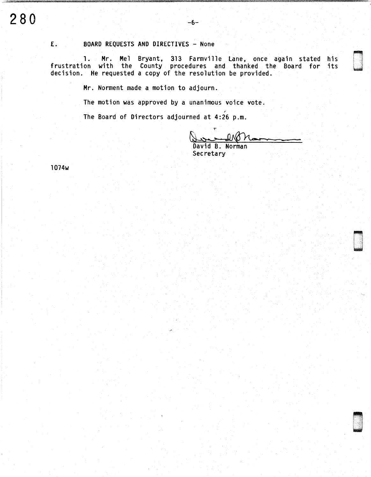# E. BOARD REQUESTS AND DIRECTIVES - None

1. Mr. Mel Bryant, 313 Farmville Lane, once again stated his frustration with the County procedures and thanked the Board for its decision. He requested a copy of the resolution be provided.

Mr. Norment made a motion to adjourn.

The motion was approved by a unanimous voice vote.

The Board of Directors adjourned at 4:26 p.m.

ብለር David B. Norman

**.**<br>.

D .

u .

Secretary

1074w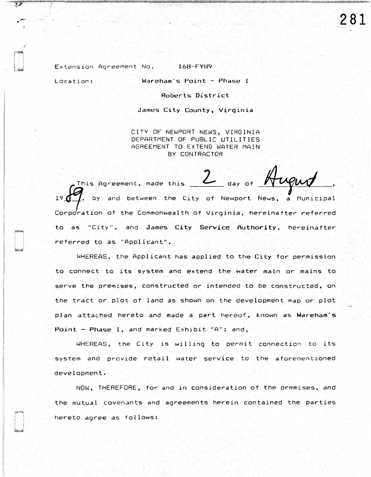**281** 

Extension Agreement No. 168-FY89

Location: Wareham·s Point - Phase I

 $\cdot$  -

 $\overline{\mathcal{V}}$ 

,.

Roberts District

James City County, Virginia

CITY OF NEWPORT NEWS, VIRGINIA DEPARTMENT OF PUBLIC UTILITIES AGREEMENT TO EXTEND WATER MAIN BY CONTRACTOR

This Agreement, made this 19  $\leftarrow$  , by and between the City of Newport News, a Municipal Corporation of the Commonwealth of Virginia, hereinafter referred day of  $\cancel{N}$ to as "City", and James City Service Authority, hereinafter referred to as "Applicant".

WHEREAS, the Applicant has applied to the City for permission to connect to its system and extend the water main or mains to serve the premises, constructed or intended to be constructed, on the tract or plot of land as shown on the development map *or* plot plan attached hereto and made a part hereof, known as Wareham"s Point - Phase I, and marked Exhibit "A"; and,

WHEREAS, the City is willing to permit connection to its system and provide retail water service to the aforementioned development.

NOW, THEREFORE, for and in consideration of the premises, and the mutual covenants and agreements herein contained the parties hereto agree as follows: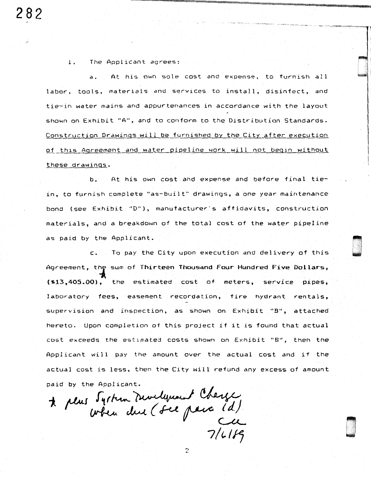1. The Applicant agrees:

a. At his own sole cost and expense, to labor, tools, materials and services to install, disinfect, and tie-in water mains and appurtenances in accordance with the layout shown on Exhibit "A", and to conform to the Distribution Standards. Construction Drawings will be furnished by the City after execution of this Agreement and water pipeline work will not begin without these drawings.

b. At his own cost and expense and before final tiein, to furnish complete "as-built" drawings, a one year maintenance bond (see Exhibit "D"), manufacturer's affidavits, construction materials, and a breakdown of the total cost of the water pipeline as paid by the Applicant.

c. To pay the City upon execution and delivery of this Agreement, the sum of Thirteen Thousand Four Hundred Five Dollars,  $(*13,405.00)$ , the estimated cost of meters, service pipes, laboratory fees, easement recordation, fire hydrant rentals, supervision and inspection, as shown on Exhibit "B", attached hereto. Upon completion of this project if it is found that actual cost exceeds the estimated costs shown on Exhibit "B", then the Applicant will pay the amount over the actual cost and if the actual cost is less, then the City will refund any excess of amount paid by the Applicant.

2

da<br>D .<br>B . .

 $\star$  plus System Develyement Charge *7/1,/f1*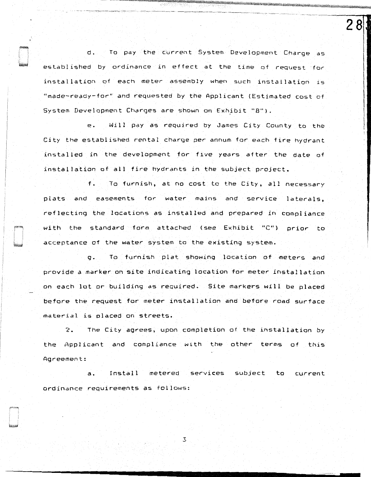d. To pay the cur-rent System Development Charge as established by ordinance in effect at the time of request forinstallation of each meter assembly when such installation is "made-ready-for" and requested by the Applicant (Estimated cost of System Development Charges are shown on Exhibit "B").

28

-------~..--·.,,,...-- -~- -~- -~---- -------~ ~------~-

e. Will pay as required by James City County to the City the established rental charge per annum for each fire hydrant ins ta 11 ed in the development for five years after the date of installation of all fire hydrants in the subject project.

f. To furnish, at no cost to the City, all necessary plats and easements for water mains and service laterals, reflecting the locations as installed and prepared in compliance with the standard form attached (see Exhibit "C") prior to acceptance of the water system to the existing system.

g. To furnish plat showing location of meters and provide a marker on site indicating location for meter installation on each lot or building as required. Site markers will be placed before the request for meter installation and before road surface material is placed on streets.

2. The City agrees, upon completion of the installation by the Applicant and compliance with the other terms of this Agreement:

a. Install metered services subject to current ordinance requirements as follows:

3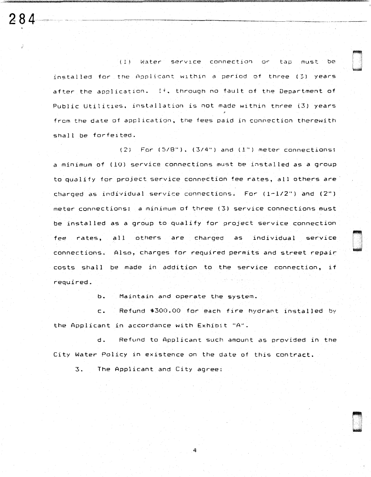( l ) W=i.ter service connectio~ *or* tap must be installed for the Applicant within a period of three (3) years after the application. If. through no fault of the Department of Public Utilities. installation is not made within three (3) years from the date of application, the fees paid in connection therewith shall be forfeited.

 $284 - 128$ 

 $(2)$  . For  $(5/8")$ ,  $(3/4")$  and  $(1")$  meter connections: a minimum of (10) service connections must be installed as a group to qualify for project service connection fee rates, all others are charged as individual service connections. For {l-1/2") and {2") meter connections: a minimum of three (3) service connections must be installed as a group to qualify for project service connection fee rates, a 11 others are charged as individual service connections. Also, charges for required permits and street repair costs shall be made in addition to the service connection, if required.

b. Maintain and operate the system.

c. Refund \$300.00 for each fire hydrant installed by the Applicant in accordance with Exhibit "A".

d. Refund to Applicant such amount as provided in the City Water Policy in existence on the date at this contract.

4

3. The Applicant and City agree: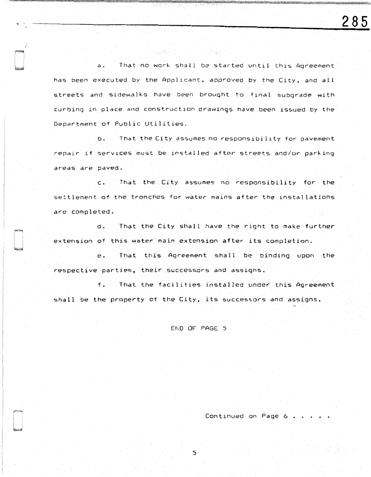a. That no work shall be started until this Agreement has been executed by the Applicant. app~oved by the City, and all streets and sidewalks have been brought to final subgrade with curbing in place and construction drawings have been issued by the Depar-tment of Public Utilities.

PAS (1994년 ) 2011년<br>대한민국의 기대

og Svike P

b. That the City assumes no responsibility tor pavement repair if services must be installed after streets and/or parking areas are paved.

c. That the City assumes ho responsibility for the settlement of the trenches for water mains after the installations are completed.

d. That the City shall have the right to make further extension of this water main extension after its completion.

e. That this Agreement shall be binding upon the respective parties, their successors and assigns.

f. That the facilities installed under this Agreement shall be the property of the City, its successors and assigns.

END OF PAGE 5

Continued on Page 6 .